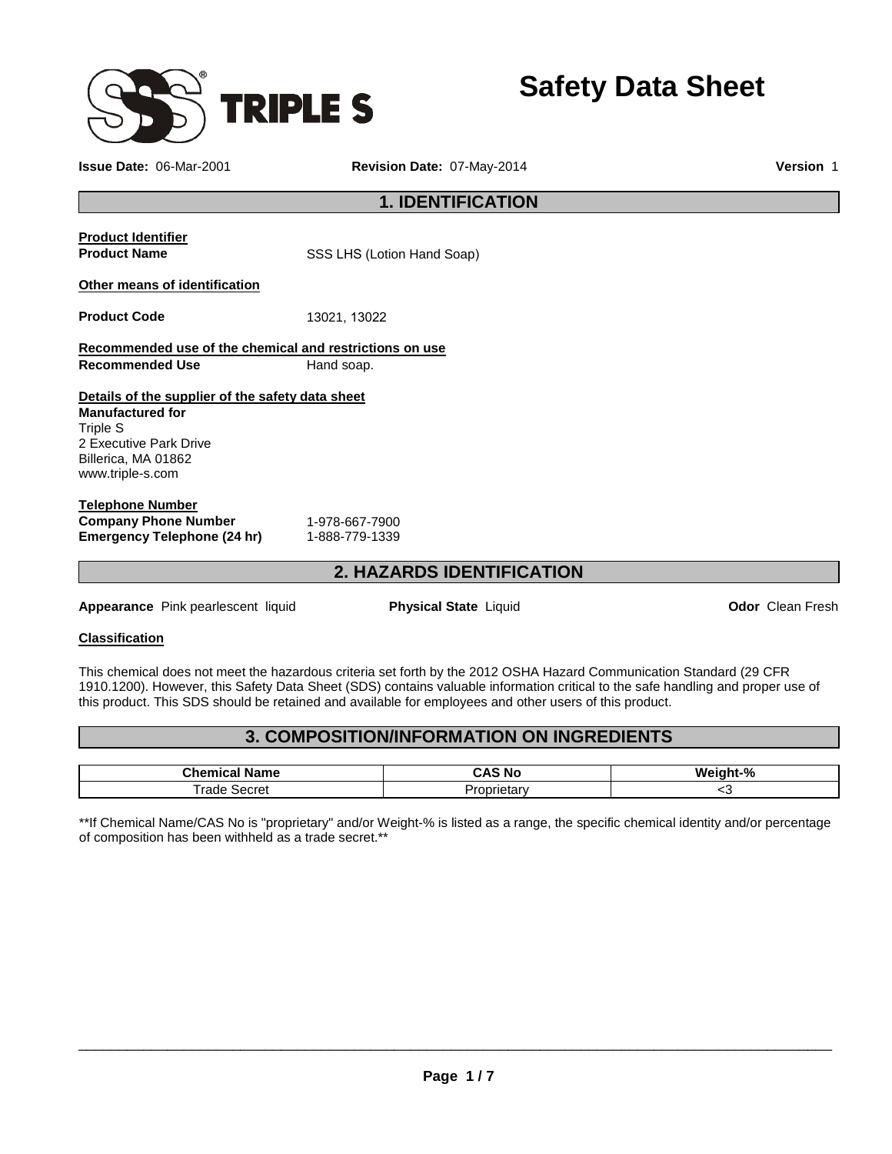

**Issue Date:** 06-Mar-2001 **Revision Date:** 07-May-2014 **Version** 1

# **1. IDENTIFICATION**

|                                                         | A IIITINDA INFI            |
|---------------------------------------------------------|----------------------------|
| Emergency Telephone (24 hr)                             | 1-888-779-1339             |
| <b>Company Phone Number</b>                             | 1-978-667-7900             |
| <b>Telephone Number</b>                                 |                            |
| www.triple-s.com                                        |                            |
| Billerica, MA 01862                                     |                            |
| 2 Executive Park Drive                                  |                            |
| Triple S                                                |                            |
| <b>Manufactured for</b>                                 |                            |
| Details of the supplier of the safety data sheet        |                            |
| <b>Recommended Use</b>                                  | Hand soap.                 |
| Recommended use of the chemical and restrictions on use |                            |
|                                                         |                            |
| <b>Product Code</b>                                     | 13021, 13022               |
| Other means of identification                           |                            |
|                                                         |                            |
| <b>Product Name</b>                                     | SSS LHS (Lotion Hand Soap) |
| <b>Product Identifier</b>                               |                            |
|                                                         |                            |

# **2. HAZARDS IDENTIFICATION**

**Appearance** Pink pearlescent liquid **Physical State** Liquid **Odor** Clean Fresh

## **Classification**

This chemical does not meet the hazardous criteria set forth by the 2012 OSHA Hazard Communication Standard (29 CFR 1910.1200). However, this Safety Data Sheet (SDS) contains valuable information critical to the safe handling and proper use of this product. This SDS should be retained and available for employees and other users of this product.

# **3. COMPOSITION/INFORMATION ON INGREDIENTS**

| --<br><br>ne              | NΟ      | ink0/<br>w.<br>70 |
|---------------------------|---------|-------------------|
| $\sim$ $\sim$<br>---<br>. | udiv. ن | ∼                 |

\*\*If Chemical Name/CAS No is "proprietary" and/or Weight-% is listed as a range, the specific chemical identity and/or percentage of composition has been withheld as a trade secret.\*\*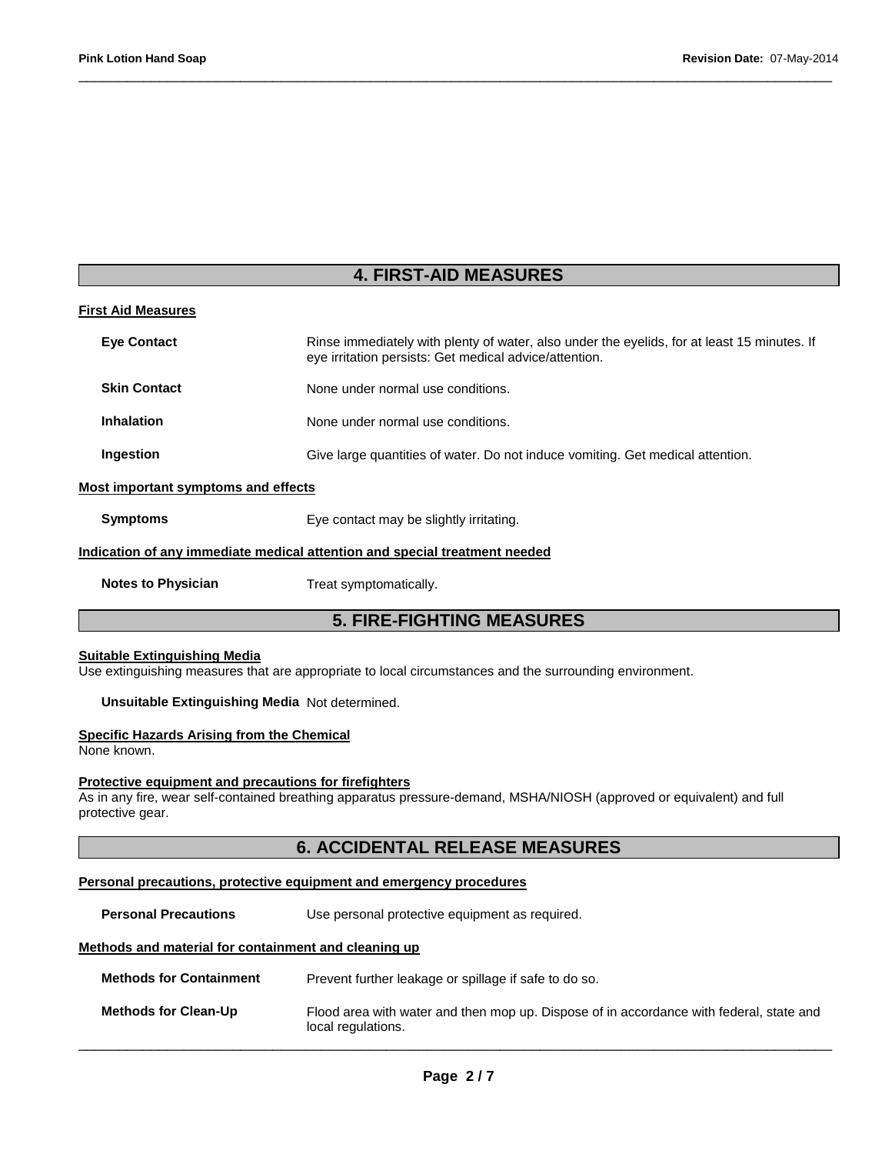# **4. FIRST-AID MEASURES**

\_\_\_\_\_\_\_\_\_\_\_\_\_\_\_\_\_\_\_\_\_\_\_\_\_\_\_\_\_\_\_\_\_\_\_\_\_\_\_\_\_\_\_\_\_\_\_\_\_\_\_\_\_\_\_\_\_\_\_\_\_\_\_\_\_\_\_\_\_\_\_\_\_\_\_\_\_\_\_\_\_\_\_\_\_\_\_\_\_\_\_\_\_

| <b>First Aid Measures</b>                  |                                                                                                                                                       |
|--------------------------------------------|-------------------------------------------------------------------------------------------------------------------------------------------------------|
| <b>Eve Contact</b>                         | Rinse immediately with plenty of water, also under the eyelids, for at least 15 minutes. If<br>eye irritation persists: Get medical advice/attention. |
| <b>Skin Contact</b>                        | None under normal use conditions.                                                                                                                     |
| <b>Inhalation</b>                          | None under normal use conditions.                                                                                                                     |
| Ingestion                                  | Give large quantities of water. Do not induce vomiting. Get medical attention.                                                                        |
| <b>Most important symptoms and effects</b> |                                                                                                                                                       |
| <b>Symptoms</b>                            | Eye contact may be slightly irritating.                                                                                                               |
|                                            | Indication of any immediate medical attention and special treatment needed                                                                            |
| <b>Notes to Physician</b>                  | Treat symptomatically.                                                                                                                                |
|                                            | <b>5. FIRE-FIGHTING MEASURES</b>                                                                                                                      |

#### **Suitable Extinguishing Media**

Use extinguishing measures that are appropriate to local circumstances and the surrounding environment.

#### **Unsuitable Extinguishing Media** Not determined.

#### **Specific Hazards Arising from the Chemical**

None known.

#### **Protective equipment and precautions for firefighters**

As in any fire, wear self-contained breathing apparatus pressure-demand, MSHA/NIOSH (approved or equivalent) and full protective gear.

# **6. ACCIDENTAL RELEASE MEASURES**

### **Personal precautions, protective equipment and emergency procedures**

**Personal Precautions Use personal protective equipment as required.** 

## **Methods and material for containment and cleaning up**

| <b>Methods for Containment</b> | Prevent further leakage or spillage if safe to do so.                                                         |
|--------------------------------|---------------------------------------------------------------------------------------------------------------|
| <b>Methods for Clean-Up</b>    | Flood area with water and then mop up. Dispose of in accordance with federal, state and<br>local regulations. |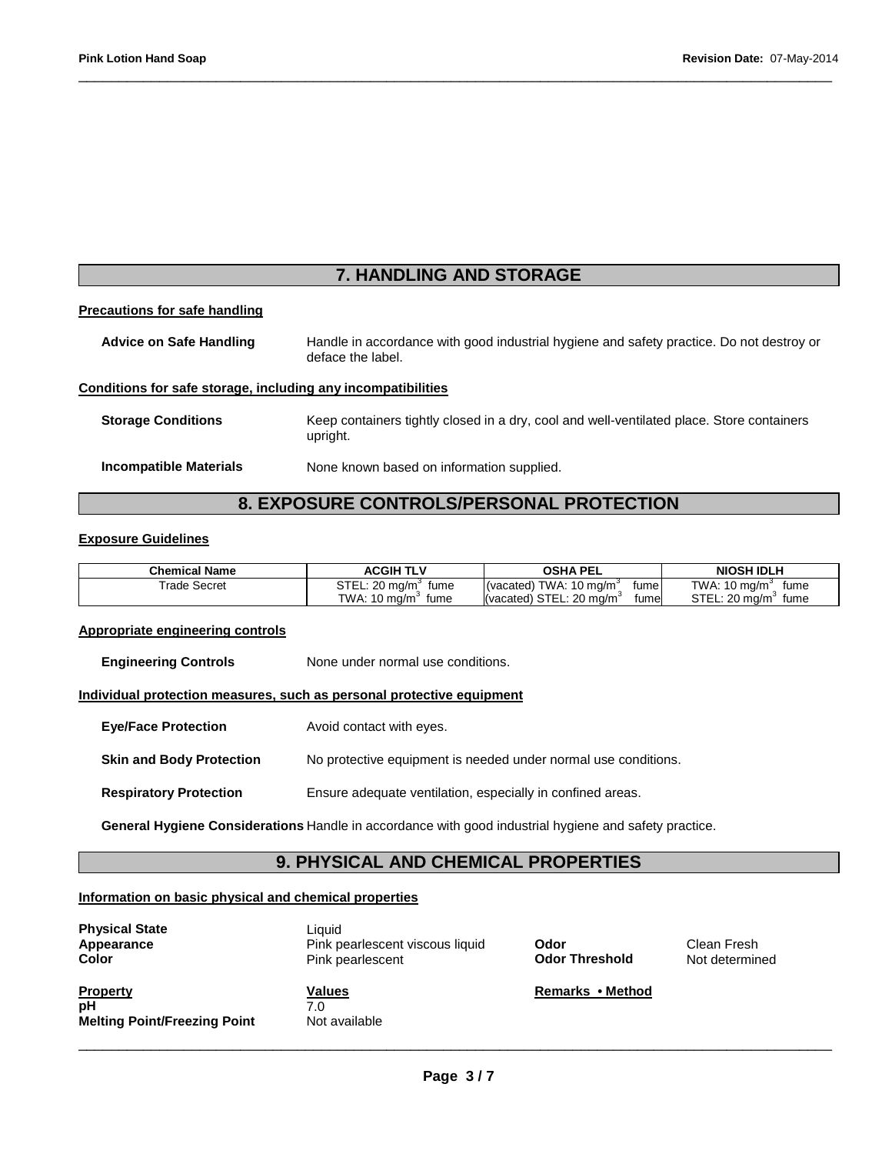# **7. HANDLING AND STORAGE**

\_\_\_\_\_\_\_\_\_\_\_\_\_\_\_\_\_\_\_\_\_\_\_\_\_\_\_\_\_\_\_\_\_\_\_\_\_\_\_\_\_\_\_\_\_\_\_\_\_\_\_\_\_\_\_\_\_\_\_\_\_\_\_\_\_\_\_\_\_\_\_\_\_\_\_\_\_\_\_\_\_\_\_\_\_\_\_\_\_\_\_\_\_

#### **Precautions for safe handling**

**Advice on Safe Handling** Handle in accordance with good industrial hygiene and safety practice. Do not destroy or deface the label.

#### **Conditions for safe storage, including any incompatibilities**

**Storage Conditions** Keep containers tightly closed in a dry, cool and well-ventilated place. Store containers upright. **Incompatible Materials** None known based on information supplied.

# **8. EXPOSURE CONTROLS/PERSONAL PROTECTION**

#### **Exposure Guidelines**

| <b>Chemical Name</b>     | <b>ACGIH</b><br>TLV                  | <b>OSHA PEL</b>                              | <b>NIOSH IDLH</b>     |
|--------------------------|--------------------------------------|----------------------------------------------|-----------------------|
| <sup>r</sup> rade Secret | $STEL: 20$ ma/m <sup>3</sup><br>fume | TWA: 10 $ma/m3$<br>(vacated)<br>fume         | TWA: 10 mg/m<br>fume  |
|                          | TWA: 10 mg/m<br>fume                 | (vacated) STEL: 20 mg/m <sup>3</sup><br>fume | STEL: 20 mg/m<br>fume |

#### **Appropriate engineering controls**

**Engineering Controls None under normal use conditions.** 

#### **Individual protection measures, such as personal protective equipment**

**Eye/Face Protection** Avoid contact with eyes.

**Skin and Body Protection No protective equipment is needed under normal use conditions.** 

**Respiratory Protection Ensure adequate ventilation, especially in confined areas.** 

**General Hygiene Considerations** Handle in accordance with good industrial hygiene and safety practice.

## **9. PHYSICAL AND CHEMICAL PROPERTIES**

## **Information on basic physical and chemical properties**

| <b>Physical State</b><br>Appearance<br>Color                 | Liauid<br>Pink pearlescent viscous liquid<br>Pink pearlescent | Odor<br><b>Odor Threshold</b> | Clean Fresh<br>Not determined |
|--------------------------------------------------------------|---------------------------------------------------------------|-------------------------------|-------------------------------|
| <b>Property</b><br>рH<br><b>Melting Point/Freezing Point</b> | <b>Values</b><br>7.0<br>Not available                         | Remarks • Method              |                               |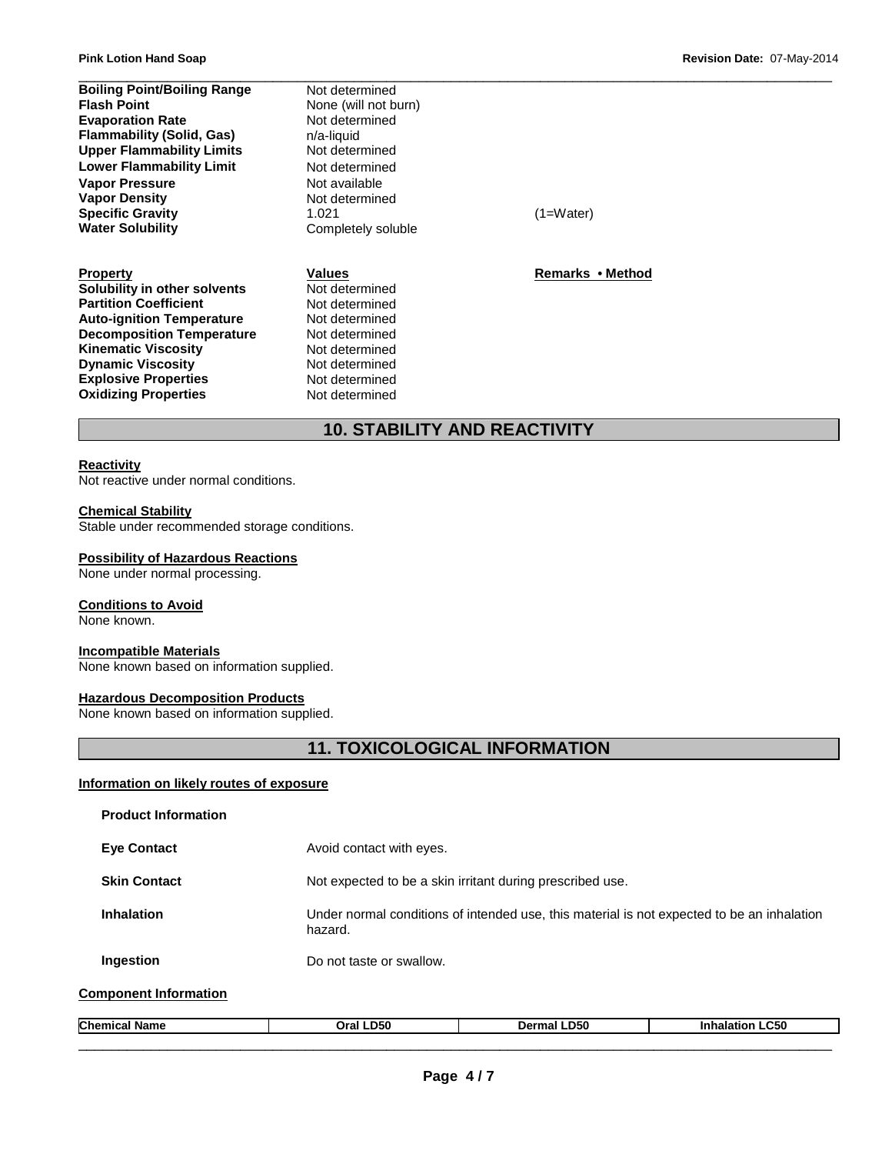| <b>Boiling Point/Boiling Range</b> | Not determined       |                  |  |
|------------------------------------|----------------------|------------------|--|
| <b>Flash Point</b>                 | None (will not burn) |                  |  |
| <b>Evaporation Rate</b>            | Not determined       |                  |  |
| <b>Flammability (Solid, Gas)</b>   | n/a-liquid           |                  |  |
| <b>Upper Flammability Limits</b>   | Not determined       |                  |  |
| <b>Lower Flammability Limit</b>    | Not determined       |                  |  |
| <b>Vapor Pressure</b>              | Not available        |                  |  |
| <b>Vapor Density</b>               | Not determined       |                  |  |
| <b>Specific Gravity</b>            | 1.021                | (1=Water)        |  |
| <b>Water Solubility</b>            | Completely soluble   |                  |  |
| <b>Property</b>                    | Values               | Remarks • Method |  |
| Solubility in other solvents       | Not determined       |                  |  |
| <b>Partition Coefficient</b>       | Not determined       |                  |  |
| <b>Auto-ignition Temperature</b>   | Not determined       |                  |  |
| <b>Decomposition Temperature</b>   | Not determined       |                  |  |

# **10. STABILITY AND REACTIVITY**

### **Reactivity**

Not reactive under normal conditions.

#### **Chemical Stability**

**Oxidizing Properties** 

Stable under recommended storage conditions.

**Kinematic Viscosity Not determined Dynamic Viscosity Not determined Explosive Properties Not determined**<br> **Oxidizing Properties Not determined** 

#### **Possibility of Hazardous Reactions**

None under normal processing.

### **Conditions to Avoid**

None known.

#### **Incompatible Materials**

None known based on information supplied.

### **Hazardous Decomposition Products**

None known based on information supplied.

# **11. TOXICOLOGICAL INFORMATION**

#### **Information on likely routes of exposure**

| <b>Product Information</b>   |                                                           |             |                                                                                            |
|------------------------------|-----------------------------------------------------------|-------------|--------------------------------------------------------------------------------------------|
| <b>Eve Contact</b>           | Avoid contact with eyes.                                  |             |                                                                                            |
| <b>Skin Contact</b>          | Not expected to be a skin irritant during prescribed use. |             |                                                                                            |
| Inhalation                   | hazard.                                                   |             | Under normal conditions of intended use, this material is not expected to be an inhalation |
| Ingestion                    | Do not taste or swallow.                                  |             |                                                                                            |
| <b>Component Information</b> |                                                           |             |                                                                                            |
| <b>Chemical Name</b>         | Oral LD50                                                 | Dermal LD50 | <b>Inhalation LC50</b>                                                                     |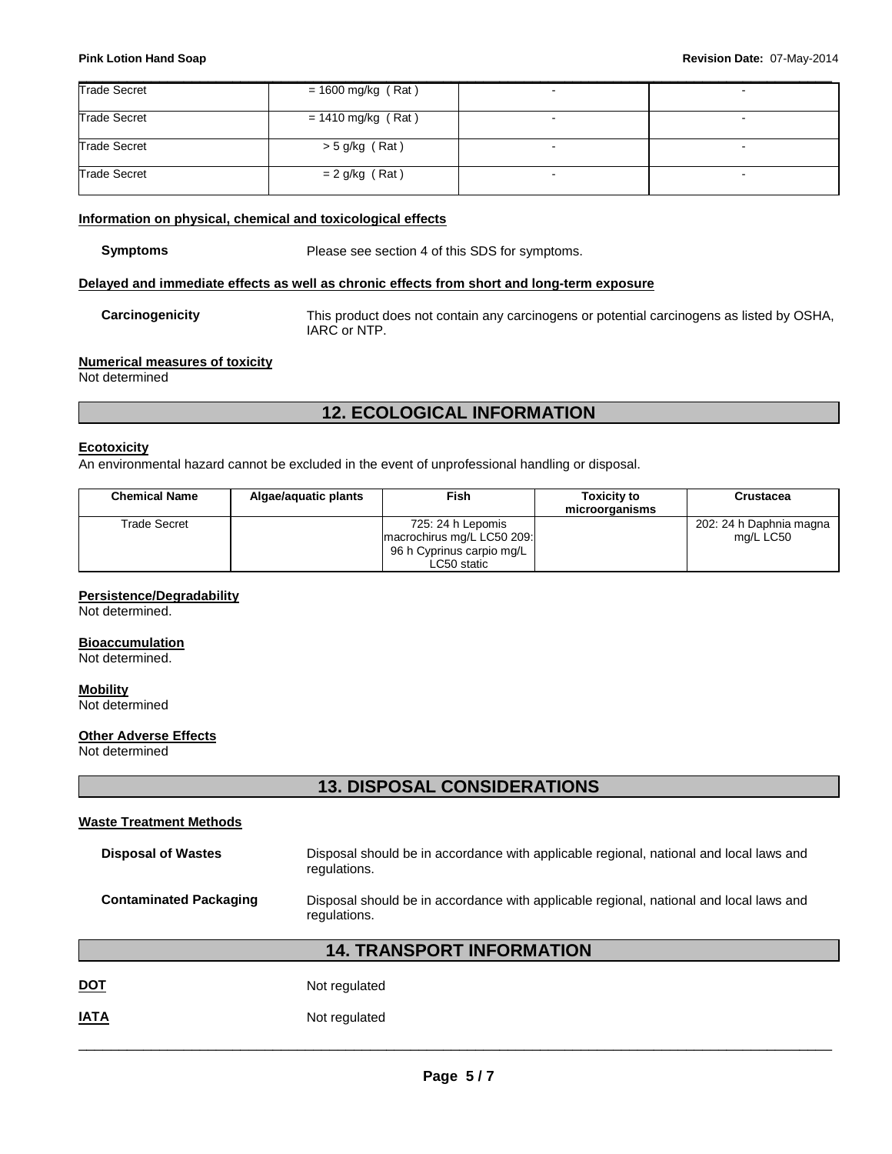| <b>Trade Secret</b> | $= 1600$ mg/kg (Rat) | - |
|---------------------|----------------------|---|
| <b>Trade Secret</b> | $= 1410$ mg/kg (Rat) | - |
| <b>Trade Secret</b> | $>$ 5 g/kg (Rat)     |   |
| <b>Trade Secret</b> | $= 2$ g/kg (Rat)     |   |

### **Information on physical, chemical and toxicological effects**

**Symptoms** Please see section 4 of this SDS for symptoms.

### **Delayed and immediate effects as well as chronic effects from short and long-term exposure**

**Carcinogenicity** This product does not contain any carcinogens or potential carcinogens as listed by OSHA, IARC or NTP.

### **Numerical measures of toxicity**

Not determined

# **12. ECOLOGICAL INFORMATION**

## **Ecotoxicity**

An environmental hazard cannot be excluded in the event of unprofessional handling or disposal.

| <b>Chemical Name</b> | Algae/aguatic plants | Fish                                                                                        | <b>Toxicity to</b><br>microorganisms | <b>Crustacea</b>                     |
|----------------------|----------------------|---------------------------------------------------------------------------------------------|--------------------------------------|--------------------------------------|
| Trade Secret         |                      | 725: 24 h Lepomis<br>macrochirus mg/L LC50 209:<br>96 h Cyprinus carpio mg/L<br>LC50 static |                                      | 202: 24 h Daphnia magna<br>mg/L LC50 |

### **Persistence/Degradability**

Not determined.

# **Bioaccumulation**

Not determined.

# **Mobility**

Not determined

## **Other Adverse Effects**

Not determined

# **13. DISPOSAL CONSIDERATIONS**

## **Waste Treatment Methods**

| <b>Disposal of Wastes</b>                                                                                                               | Disposal should be in accordance with applicable regional, national and local laws and<br>regulations. |
|-----------------------------------------------------------------------------------------------------------------------------------------|--------------------------------------------------------------------------------------------------------|
| <b>Contaminated Packaging</b><br>Disposal should be in accordance with applicable regional, national and local laws and<br>regulations. |                                                                                                        |
|                                                                                                                                         | <b>14. TRANSPORT INFORMATION</b>                                                                       |
| <b>DOT</b>                                                                                                                              | Not regulated                                                                                          |
| <b>IATA</b>                                                                                                                             | Not regulated                                                                                          |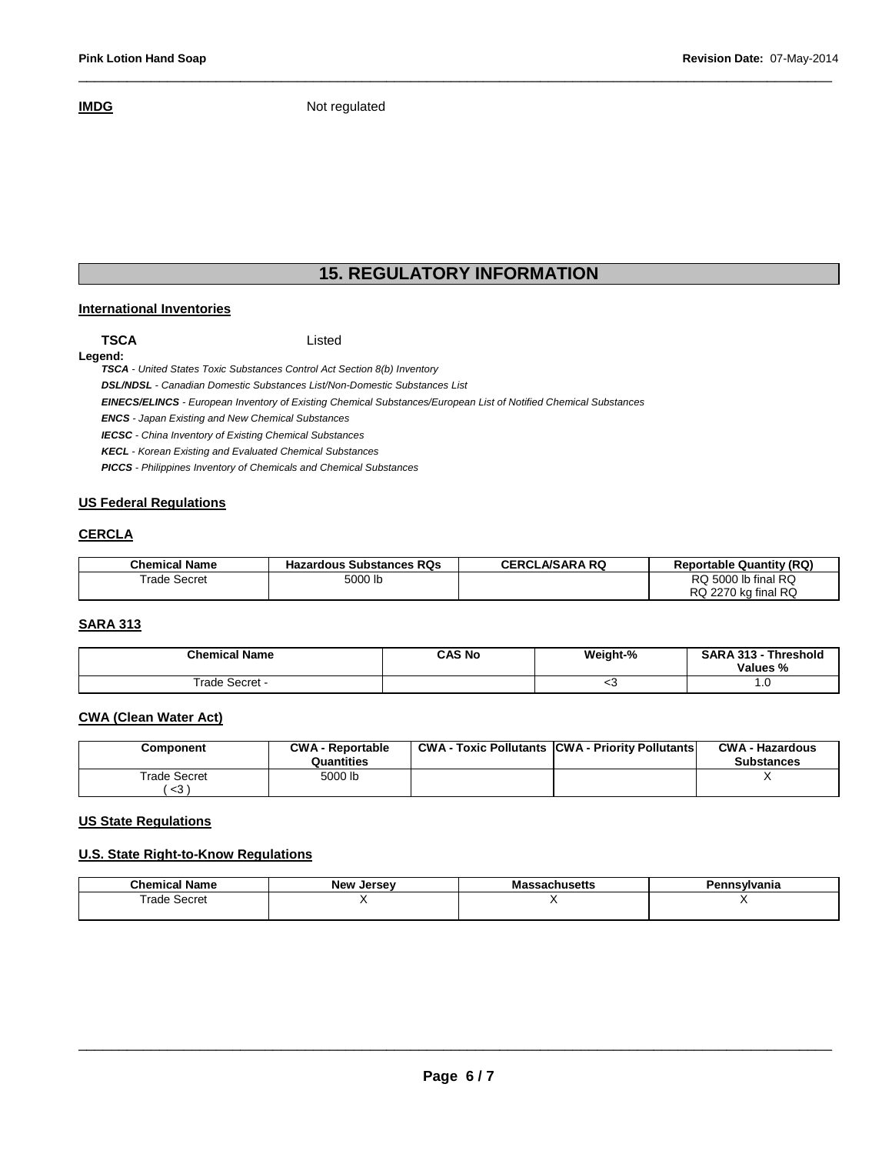**IMDG** Not regulated

# **15. REGULATORY INFORMATION**

\_\_\_\_\_\_\_\_\_\_\_\_\_\_\_\_\_\_\_\_\_\_\_\_\_\_\_\_\_\_\_\_\_\_\_\_\_\_\_\_\_\_\_\_\_\_\_\_\_\_\_\_\_\_\_\_\_\_\_\_\_\_\_\_\_\_\_\_\_\_\_\_\_\_\_\_\_\_\_\_\_\_\_\_\_\_\_\_\_\_\_\_\_

#### **International Inventories**

**Legend:** 

**TSCA** Listed

**TSCA** - United States Toxic Substances Control Act Section 8(b) Inventory

**DSL/NDSL** - Canadian Domestic Substances List/Non-Domestic Substances List

**EINECS/ELINCS** - European Inventory of Existing Chemical Substances/European List of Notified Chemical Substances

**ENCS** - Japan Existing and New Chemical Substances

**IECSC** - China Inventory of Existing Chemical Substances

**KECL** - Korean Existing and Evaluated Chemical Substances

**PICCS** - Philippines Inventory of Chemicals and Chemical Substances

### **US Federal Regulations**

### **CERCLA**

| <b>Chemical Name</b> | <b>Hazardous Substances RQs</b> | <b>CERCLA/SARA RQ</b> | <b>Reportable Quantity (RQ)</b> |
|----------------------|---------------------------------|-----------------------|---------------------------------|
| <b>Trade Secret</b>  | 5000 lb                         |                       | RQ 5000 lb final RQ             |
|                      |                                 |                       | RQ 2270 kg final RQ             |

## **SARA 313**

| <b>Chemical Name</b> | <b>CAS No</b> | Weight-% | <b>SARA 313 -</b><br>Threshold<br>Values % |
|----------------------|---------------|----------|--------------------------------------------|
| Secret -<br>rade     |               | ≺ت       | U                                          |

## **CWA (Clean Water Act)**

| Component                           | <b>CWA - Reportable</b><br>Quantities | <b>CWA - Toxic Pollutants CWA - Priority Pollutants</b> | <b>CWA - Hazardous</b><br><b>Substances</b> |
|-------------------------------------|---------------------------------------|---------------------------------------------------------|---------------------------------------------|
| Trade Secret<br>$\langle 3 \rangle$ | 5000 lb                               |                                                         |                                             |

## **US State Regulations**

#### **U.S. State Right-to-Know Regulations**

| <b>Chamu</b><br>Name | <b>New</b><br>Jersev | sachusetts<br>Ma | 1vania |
|----------------------|----------------------|------------------|--------|
| ⊺rade Secret<br>.    |                      |                  |        |
|                      |                      |                  |        |